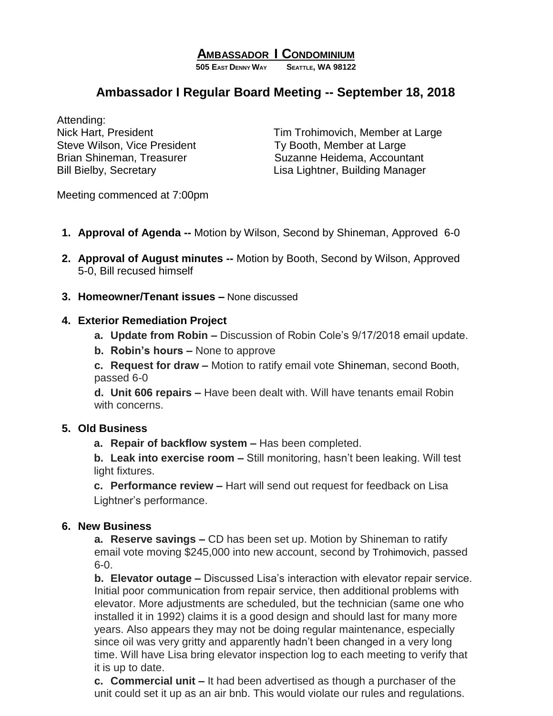## **AMBASSADOR I CONDOMINIUM**

**505 EAST DENNY WAY SEATTLE, WA 98122**

# **Ambassador I Regular Board Meeting -- September 18, 2018**

Attending: Steve Wilson, Vice President Ty Booth, Member at Large

Nick Hart, President Tim Trohimovich, Member at Large Brian Shineman, Treasurer Suzanne Heidema, Accountant Bill Bielby, Secretary **Lisa Lightner**, Building Manager

Meeting commenced at 7:00pm

- **1. Approval of Agenda --** Motion by Wilson, Second by Shineman, Approved 6-0
- **2. Approval of August minutes --** Motion by Booth, Second by Wilson, Approved 5-0, Bill recused himself
- **3. Homeowner/Tenant issues –** None discussed

### **4. Exterior Remediation Project**

- **a. Update from Robin –** Discussion of Robin Cole's 9/17/2018 email update.
- **b. Robin's hours –** None to approve

**c. Request for draw –** Motion to ratify email vote Shineman, second Booth, passed 6-0

**d. Unit 606 repairs –** Have been dealt with. Will have tenants email Robin with concerns.

### **5. Old Business**

**a. Repair of backflow system –** Has been completed.

**b. Leak into exercise room –** Still monitoring, hasn't been leaking. Will test light fixtures.

**c. Performance review –** Hart will send out request for feedback on Lisa Lightner's performance.

#### **6. New Business**

**a. Reserve savings –** CD has been set up. Motion by Shineman to ratify email vote moving \$245,000 into new account, second by Trohimovich, passed 6-0.

**b. Elevator outage –** Discussed Lisa's interaction with elevator repair service. Initial poor communication from repair service, then additional problems with elevator. More adjustments are scheduled, but the technician (same one who installed it in 1992) claims it is a good design and should last for many more years. Also appears they may not be doing regular maintenance, especially since oil was very gritty and apparently hadn't been changed in a very long time. Will have Lisa bring elevator inspection log to each meeting to verify that it is up to date.

**c. Commercial unit –** It had been advertised as though a purchaser of the unit could set it up as an air bnb. This would violate our rules and regulations.